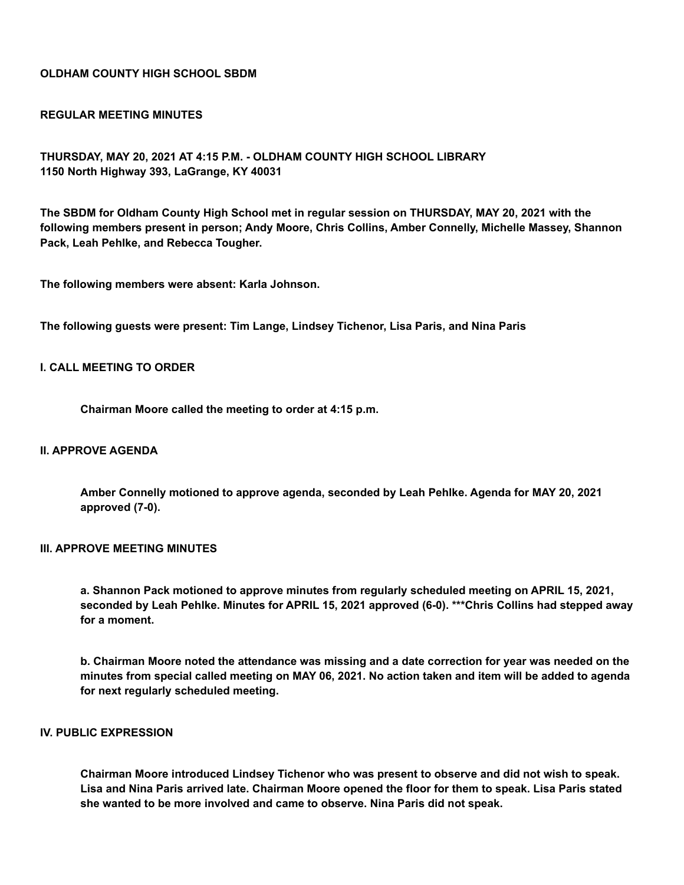## **OLDHAM COUNTY HIGH SCHOOL SBDM**

#### **REGULAR MEETING MINUTES**

**THURSDAY, MAY 20, 2021 AT 4:15 P.M. - OLDHAM COUNTY HIGH SCHOOL LIBRARY 1150 North Highway 393, LaGrange, KY 40031**

**The SBDM for Oldham County High School met in regular session on THURSDAY, MAY 20, 2021 with the following members present in person; Andy Moore, Chris Collins, Amber Connelly, Michelle Massey, Shannon Pack, Leah Pehlke, and Rebecca Tougher.**

**The following members were absent: Karla Johnson.**

**The following guests were present: Tim Lange, Lindsey Tichenor, Lisa Paris, and Nina Paris**

#### **I. CALL MEETING TO ORDER**

**Chairman Moore called the meeting to order at 4:15 p.m.**

### **II. APPROVE AGENDA**

**Amber Connelly motioned to approve agenda, seconded by Leah Pehlke. Agenda for MAY 20, 2021 approved (7-0).**

# **III. APPROVE MEETING MINUTES**

**a. Shannon Pack motioned to approve minutes from regularly scheduled meeting on APRIL 15, 2021, seconded by Leah Pehlke. Minutes for APRIL 15, 2021 approved (6-0). \*\*\*Chris Collins had stepped away for a moment.**

b. Chairman Moore noted the attendance was missing and a date correction for year was needed on the minutes from special called meeting on MAY 06, 2021. No action taken and item will be added to agenda **for next regularly scheduled meeting.**

### **IV. PUBLIC EXPRESSION**

**Chairman Moore introduced Lindsey Tichenor who was present to observe and did not wish to speak.** Lisa and Nina Paris arrived late. Chairman Moore opened the floor for them to speak. Lisa Paris stated **she wanted to be more involved and came to observe. Nina Paris did not speak.**